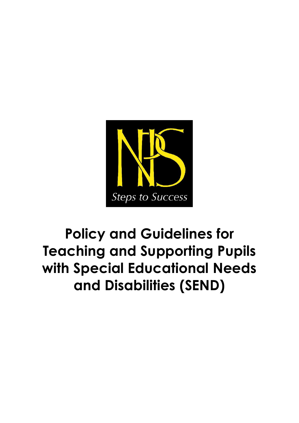

# **Policy and Guidelines for Teaching and Supporting Pupils with Special Educational Needs and Disabilities (SEND)**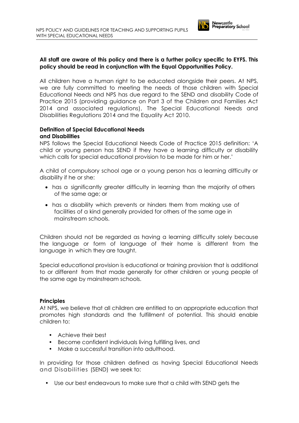

# **All staff are aware of this policy and there is a further policy specific to EYFS. This policy should be read in conjunction with the Equal Opportunities Policy.**

All children have a human right to be educated alongside their peers. At NPS, we are fully committed to meeting the needs of those children with Special Educational Needs and NPS has due regard to the SEND and disability Code of Practice 2015 (providing guidance on Part 3 of the Children and Families Act 2014 and associated regulations), The Special Educational Needs and Disabilities Regulations 2014 and the Equality Act 2010.

#### **Definition of Special Educational Needs and Disabilities**

NPS follows the Special Educational Needs Code of Practice 2015 definition: 'A child or young person has SEND if they have a learning difficulty or disability which calls for special educational provision to be made for him or her.'

A child of compulsory school age or a young person has a learning difficulty or disability if he or she:

- has a significantly greater difficulty in learning than the majority of others of the same age; or
- has a disability which prevents or hinders them from making use of facilities of a kind generally provided for others of the same age in mainstream schools.

Children should not be regarded as having a learning difficulty solely because the language or form of language of their home is different from the language in which they are taught.

Special educational provision is educational or training provision that is additional to or different from that made generally for other children or young people of the same age by mainstream schools.

# **Principles**

At NPS, we believe that all children are entitled to an appropriate education that promotes high standards and the fulfillment of potential. This should enable children to:

- Achieve their best
- Become confident individuals living fulfilling lives, and
- Make a successful transition into adulthood.

In providing for those children defined as having Special Educational Needs and Disabilities (SEND) we seek to:

• Use our best endeavours to make sure that a child with SEND gets the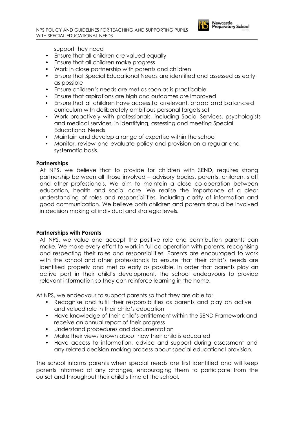

support they need

- Ensure that all children are valued equally
- Ensure that all children make progress
- Work in close partnership with parents and children
- Ensure that Special Educational Needs are identified and assessed as early as possible
- Ensure children's needs are met as soon as is practicable
- Ensure that aspirations are high and outcomes are improved
- Ensure that all children have access to a relevant, broad and balanced curriculum with deliberately ambitious personal targets set
- Work proactively with professionals, including Social Services, psychologists and medical services, in identifying, assessing and meeting Special Educational Needs
- Maintain and develop a range of expertise within the school
- Monitor, review and evaluate policy and provision on a regular and systematic basis.

#### **Partnerships**

At NPS, we believe that to provide for children with SEND, requires strong partnership between all those involved – advisory bodies, parents, children, staff and other professionals. We aim to maintain a close co-operation between education, health and social care. We realise the importance of a clear understanding of roles and responsibilities, including clarity of information and good communication. We believe both children and parents should be involved in decision making at individual and strategic levels.

#### **Partnerships with Parents**

At NPS, we value and accept the positive role and contribution parents can make. We make every effort to work in full co-operation with parents, recognising and respecting their roles and responsibilities. Parents are encouraged to work with the school and other professionals to ensure that their child's needs are identified properly and met as early as possible. In order that parents play an active part in their child's development, the school endeavours to provide relevant information so they can reinforce learning in the home.

At NPS, we endeavour to support parents so that they are able to:

- Recognise and fulfill their responsibilities as parents and play an active and valued role in their child's education
- Have knowledge of their child's entitlement within the SEND Framework and receive an annual report of their progress
- Understand procedures and documentation
- Make their views known about how their child is educated
- Have access to information, advice and support during assessment and any related decision-making process about special educational provision.

The school informs parents when special needs are first identified and will keep parents informed of any changes, encouraging them to participate from the outset and throughout their child's time at the school.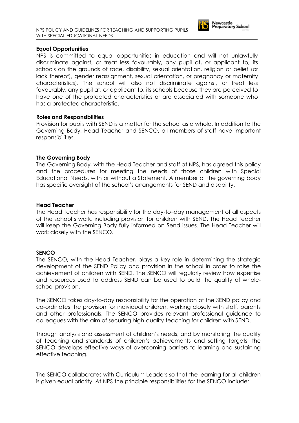

# **Equal Opportunities**

NPS is committed to equal opportunities in education and will not unlawfully discriminate against, or treat less favourably, any pupil at, or applicant to, its schools on the grounds of race, disability, sexual orientation, religion or belief (or lack thereof), gender reassignment, sexual orientation, or pregnancy or maternity characteristics). The school will also not discriminate against, or treat less favourably, any pupil at, or applicant to, its schools because they are perceived to have one of the protected characteristics or are associated with someone who has a protected characteristic.

#### **Roles and Responsibilities**

Provision for pupils with SEND is a matter for the school as a whole. In addition to the Governing Body, Head Teacher and SENCO, all members of staff have important responsibilities.

# **The Governing Body**

The Governing Body, with the Head Teacher and staff at NPS, has agreed this policy and the procedures for meeting the needs of those children with Special Educational Needs, with or without a Statement. A member of the governing body has specific oversight of the school's arrangements for SEND and disability.

#### **Head Teacher**

The Head Teacher has responsibility for the day-to–day management of all aspects of the school's work, including provision for children with SEND. The Head Teacher will keep the Governing Body fully informed on Send issues. The Head Teacher will work closely with the SENCO.

# **SENCO**

The SENCO, with the Head Teacher, plays a key role in determining the strategic development of the SEND Policy and provision in the school in order to raise the achievement of children with SEND. The SENCO will regularly review how expertise and resources used to address SEND can be used to build the quality of wholeschool provision.

The SENCO takes day-to-day responsibility for the operation of the SEND policy and co-ordinates the provision for individual children, working closely with staff, parents and other professionals. The SENCO provides relevant professional guidance to colleagues with the aim of securing high-quality teaching for children with SEND.

Through analysis and assessment of children's needs, and by monitoring the quality of teaching and standards of children's achievements and setting targets, the SENCO develops effective ways of overcoming barriers to learning and sustaining effective teaching.

The SENCO collaborates with Curriculum Leaders so that the learning for all children is given equal priority. At NPS the principle responsibilities for the SENCO include: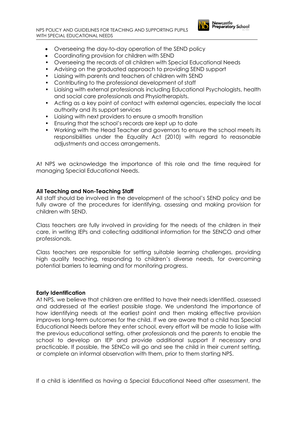

- Coordinating provision for children with SEND
- Overseeing the records of all children with Special Educational Needs
- Advising on the graduated approach to providing SEND support
- Liaising with parents and teachers of children with SEND
- Contributing to the professional development of staff
- Liaising with external professionals including Educational Psychologists, health and social care professionals and Physiotherapists.
- Acting as a key point of contact with external agencies, especially the local authority and its support services
- Liaising with next providers to ensure a smooth transition
- Ensuring that the school's records are kept up to date
- Working with the Head Teacher and governors to ensure the school meets its responsibilities under the Equality Act (2010) with regard to reasonable adjustments and access arrangements.

At NPS we acknowledge the importance of this role and the time required for managing Special Educational Needs.

#### **All Teaching and Non-Teaching Staff**

All staff should be involved in the development of the school's SEND policy and be fully aware of the procedures for identifying, assessing and making provision for children with SEND.

Class teachers are fully involved in providing for the needs of the children in their care, in writing IEPs and collecting additional information for the SENCO and other professionals.

Class teachers are responsible for setting suitable learning challenges, providing high quality teaching, responding to children's diverse needs, for overcoming potential barriers to learning and for monitoring progress.

#### **Early Identification**

At NPS, we believe that children are entitled to have their needs identified, assessed and addressed at the earliest possible stage. We understand the importance of how identifying needs at the earliest point and then making effective provision improves long-term outcomes for the child. If we are aware that a child has Special Educational Needs before they enter school, every effort will be made to liaise with the previous educational setting, other professionals and the parents to enable the school to develop an IEP and provide additional support if necessary and practicable. If possible, the SENCo will go and see the child in their current setting, or complete an informal observation with them, prior to them starting NPS.

If a child is identified as having a Special Educational Need after assessment, the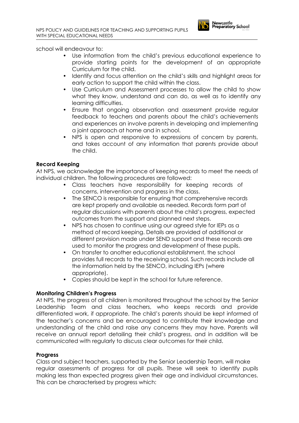

- Use information from the child's previous educational experience to provide starting points for the development of an appropriate Curriculum for the child.
- Identify and focus attention on the child's skills and highlight areas for early action to support the child within the class.
- Use Curriculum and Assessment processes to allow the child to show what they know, understand and can do, as well as to identify any learning difficulties.
- Ensure that ongoing observation and assessment provide regular feedback to teachers and parents about the child's achievements and experiences an involve parents in developing and implementing a joint approach at home and in school.
- NPS is open and responsive to expressions of concern by parents, and takes account of any information that parents provide about the child.

# **Record Keeping**

At NPS, we acknowledge the importance of keeping records to meet the needs of individual children. The following procedures are followed:

- Class teachers have responsibility for keeping records of concerns, intervention and progress in the class.
- The SENCO is responsible for ensuring that comprehensive records are kept properly and available as needed. Records form part of regular discussions with parents about the child's progress, expected outcomes from the support and planned next steps.
- NPS has chosen to continue using our agreed style for IEPs as a method of record keeping. Details are provided of additional or different provision made under SEND support and these records are used to monitor the progress and development of these pupils.
- On transfer to another educational establishment, the school provides full records to the receiving school. Such records include all the information held by the SENCO, including IEPs (where appropriate).
- Copies should be kept in the school for future reference.

# **Monitoring Children's Progress**

At NPS, the progress of all children is monitored throughout the school by the Senior Leadership Team and class teachers, who keeps records and provide differentiated work, if appropriate. The child's parents should be kept informed of the teacher's concerns and be encouraged to contribute their knowledge and understanding of the child and raise any concerns they may have. Parents will receive an annual report detailing their child's progress, and in addition will be communicated with regularly to discuss clear outcomes for their child.

# **Progress**

Class and subject teachers, supported by the Senior Leadership Team, will make regular assessments of progress for all pupils. These will seek to identify pupils making less than expected progress given their age and individual circumstances. This can be characterised by progress which: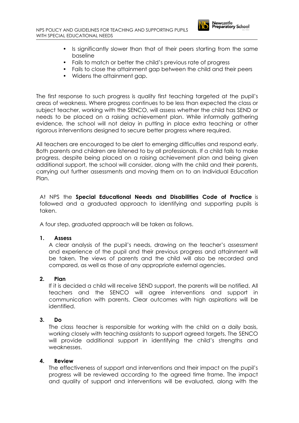

- Is significantly slower than that of their peers starting from the same baseline
- Fails to match or better the child's previous rate of progress
- Fails to close the attainment gap between the child and their peers
- Widens the attainment gap.

The first response to such progress is quality first teaching targeted at the pupil's areas of weakness. Where progress continues to be less than expected the class or subject teacher, working with the SENCO, will assess whether the child has SEND or needs to be placed on a raising achievement plan. While informally gathering evidence, the school will not delay in putting in place extra teaching or other rigorous interventions designed to secure better progress where required.

All teachers are encouraged to be alert to emerging difficulties and respond early. Both parents and children are listened to by all professionals. If a child fails to make progress, despite being placed on a raising achievement plan and being given additional support, the school will consider, along with the child and their parents, carrying out further assessments and moving them on to an Individual Education Plan.

At NPS the **Special Educational Needs and Disabilities Code of Practice** is followed and a graduated approach to identifying and supporting pupils is taken.

A four step, graduated approach will be taken as follows.

#### **1. Assess**

A clear analysis of the pupil's needs, drawing on the teacher's assessment and experience of the pupil and their previous progress and attainment will be taken. The views of parents and the child will also be recorded and compared, as well as those of any appropriate external agencies.

#### **2. Plan**

If it is decided a child will receive SEND support, the parents will be notified. All teachers and the SENCO will agree interventions and support in communication with parents. Clear outcomes with high aspirations will be identified.

# **3. Do**

The class teacher is responsible for working with the child on a daily basis, working closely with teaching assistants to support agreed targets. The SENCO will provide additional support in identifying the child's strengths and weaknesses.

# **4. Review**

The effectiveness of support and interventions and their impact on the pupil's progress will be reviewed according to the agreed time frame. The impact and quality of support and interventions will be evaluated, along with the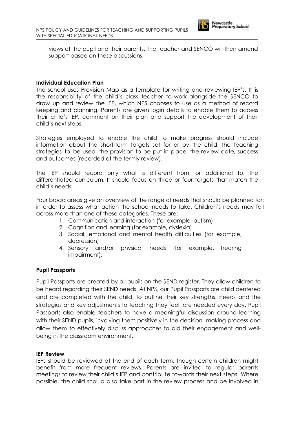

views of the pupil and their parents. The teacher and SENCO will then amend support based on these discussions.

#### **Individual Education Plan**

The school uses Provision Map as a template for writing and reviewing IEP's. It is the responsibility of the child's class teacher to work alongside the SENCO to draw up and review the IEP, which NPS chooses to use as a method of record keeping and planning. Parents are given login details to enable them to access their child's IEP, comment on their plan and support the development of their child's next steps.

Strategies employed to enable the child to make progress should include information about the short-term targets set for or by the child, the teaching strategies to be used, the provision to be put in place, the review date, success and outcomes (recorded at the termly review).

The IEP should record only what is different from, or additional to, the differentiated curriculum. It should focus on three or four targets that match the child's needs.

Four broad areas give an overview of the range of needs that should be planned for; in order to assess what action the school needs to take. Children's needs may fall across more than one of these categories. These are:

- 1. Communication and interaction (for example, autism)
- 2. Cognition and learning (for example, dyslexia)
- 3. Social, emotional and mental health difficulties (for example, depression)
- 4. Sensory and/or physical needs (for example, hearing impairment).

# **Pupil Passports**

Pupil Passports are created by all pupils on the SEND register. They allow children to be heard regarding their SEND needs. At NPS, our Pupil Passports are child centered and are completed with the child, to outline their key strengths, needs and the strategies and key adjustments to teaching they feel, are needed every day. Pupil Passports also enable teachers to have a meaningful discussion around learning with their SEND pupils, involving them positively in the decision- making process and allow them to effectively discuss approaches to aid their engagement and wellbeing in the classroom environment.

#### **IEP Review**

IEPs should be reviewed at the end of each term, though certain children might benefit from more frequent reviews. Parents are invited to regular parents meetings to review their child's IEP and contribute towards their next steps. Where possible, the child should also take part in the review process and be involved in